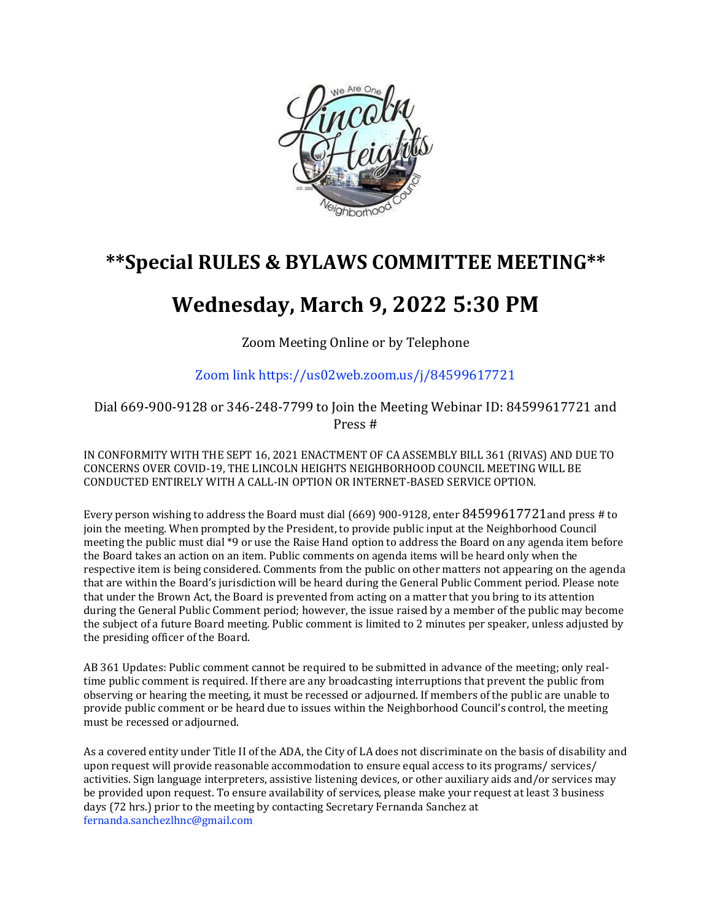

## **\*\*Special RULES & BYLAWS COMMITTEE MEETING\*\***

## **Wednesday, March 9, 2022 5:30 PM**

Zoom Meeting Online or by Telephone

Zoom link https://us02web.zoom.us/j/84599617721

Dial 669-900-9128 or 346-248-7799 to Join the Meeting Webinar ID: 84599617721 and Press #

IN CONFORMITY WITH THE SEPT 16, 2021 ENACTMENT OF CA ASSEMBLY BILL 361 (RIVAS) AND DUE TO CONCERNS OVER COVID-19, THE LINCOLN HEIGHTS NEIGHBORHOOD COUNCIL MEETING WILL BE CONDUCTED ENTIRELY WITH A CALL-IN OPTION OR INTERNET-BASED SERVICE OPTION.

Every person wishing to address the Board must dial (669) 900-9128, enter 84599617721and press # to join the meeting. When prompted by the President, to provide public input at the Neighborhood Council meeting the public must dial \*9 or use the Raise Hand option to address the Board on any agenda item before the Board takes an action on an item. Public comments on agenda items will be heard only when the respective item is being considered. Comments from the public on other matters not appearing on the agenda that are within the Board's jurisdiction will be heard during the General Public Comment period. Please note that under the Brown Act, the Board is prevented from acting on a matter that you bring to its attention during the General Public Comment period; however, the issue raised by a member of the public may become the subject of a future Board meeting. Public comment is limited to 2 minutes per speaker, unless adjusted by the presiding officer of the Board.

AB 361 Updates: Public comment cannot be required to be submitted in advance of the meeting; only realtime public comment is required. If there are any broadcasting interruptions that prevent the public from observing or hearing the meeting, it must be recessed or adjourned. If members of the public are unable to provide public comment or be heard due to issues within the Neighborhood Council's control, the meeting must be recessed or adjourned.

As a covered entity under Title II of the ADA, the City of LA does not discriminate on the basis of disability and upon request will provide reasonable accommodation to ensure equal access to its programs/ services/ activities. Sign language interpreters, assistive listening devices, or other auxiliary aids and/or services may be provided upon request. To ensure availability of services, please make your request at least 3 business days (72 hrs.) prior to the meeting by contacting Secretary Fernanda Sanchez at fernanda.sanchezlhnc@gmail.com